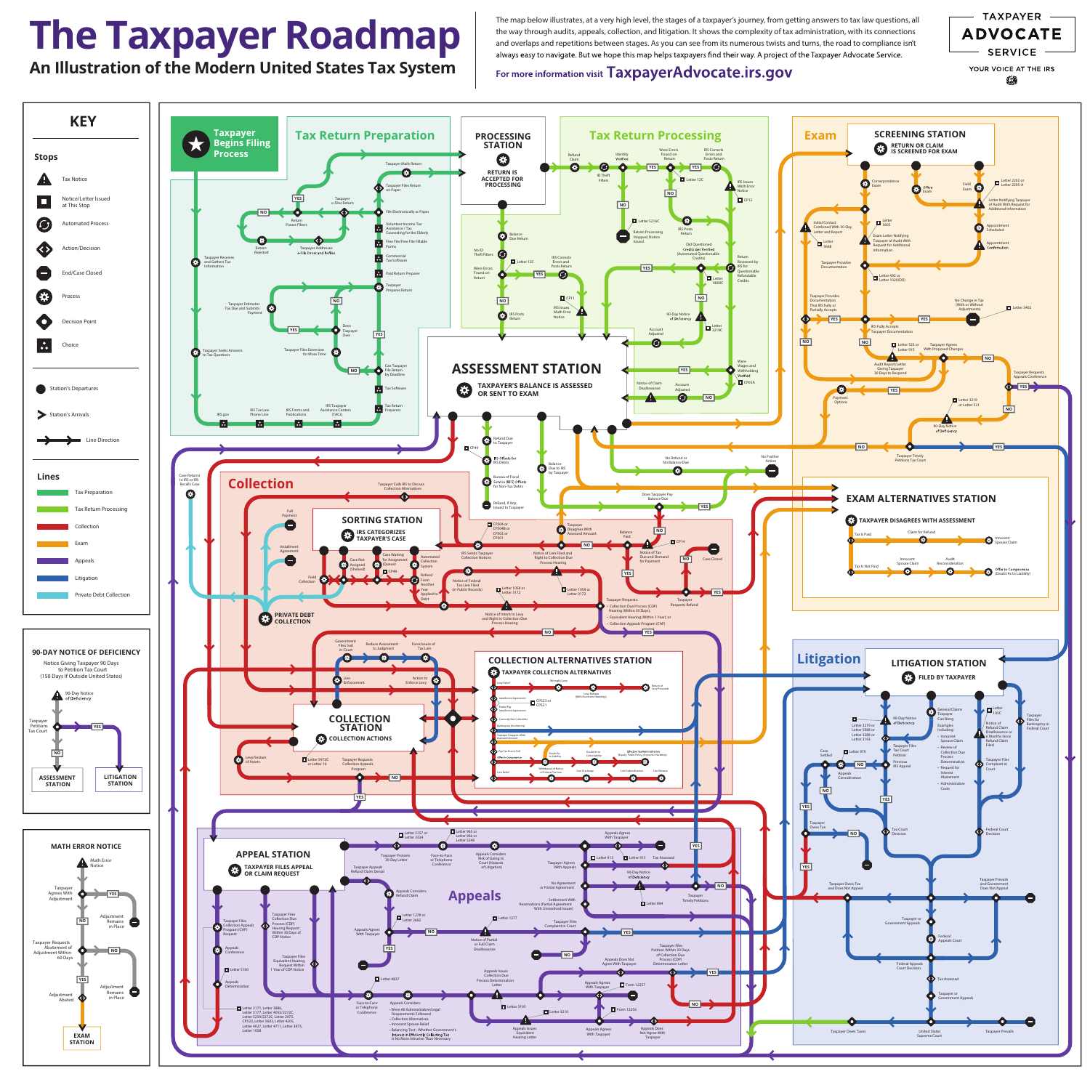The map below illustrates, at a very high level, the stages of a taxpayer's journey, from getting answers to tax law questions, all the way through audits, appeals, collection, and litigation. It shows the complexity of tax administration, with its connections and overlaps and repetitions between stages. As you can see from its numerous twists and turns, the road to compliance isn't always easy to navigate. But we hope this map helps taxpayers find their way. A project of the Taxpayer Advocate Service.

For more information visit TaxpayerAdvocate.irs.gov





# **The Taxpayer Roadmap**

**An Illustration of the Modern United States Tax System**